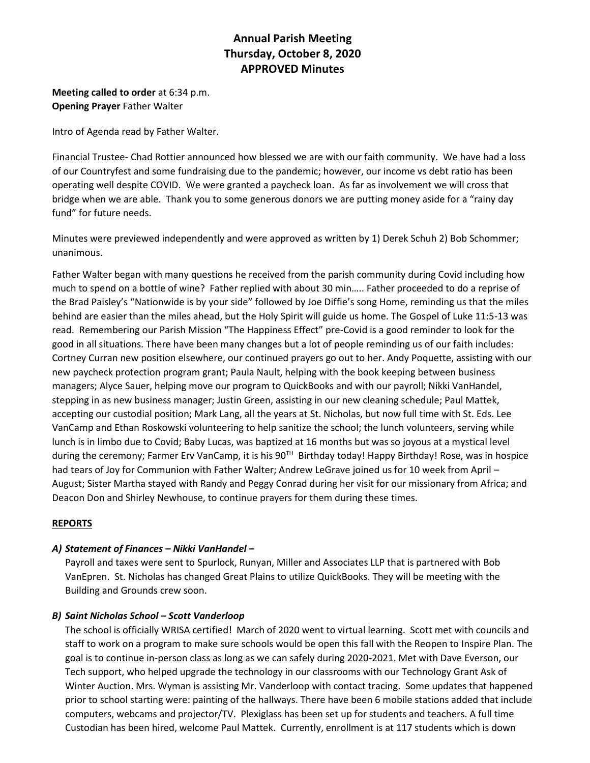# **Annual Parish Meeting Thursday, October 8, 2020 APPROVED Minutes**

**Meeting called to order** at 6:34 p.m. **Opening Prayer** Father Walter

Intro of Agenda read by Father Walter.

Financial Trustee- Chad Rottier announced how blessed we are with our faith community. We have had a loss of our Countryfest and some fundraising due to the pandemic; however, our income vs debt ratio has been operating well despite COVID. We were granted a paycheck loan. As far as involvement we will cross that bridge when we are able. Thank you to some generous donors we are putting money aside for a "rainy day fund" for future needs.

Minutes were previewed independently and were approved as written by 1) Derek Schuh 2) Bob Schommer; unanimous.

Father Walter began with many questions he received from the parish community during Covid including how much to spend on a bottle of wine? Father replied with about 30 min….. Father proceeded to do a reprise of the Brad Paisley's "Nationwide is by your side" followed by Joe Diffie's song Home, reminding us that the miles behind are easier than the miles ahead, but the Holy Spirit will guide us home. The Gospel of Luke 11:5-13 was read. Remembering our Parish Mission "The Happiness Effect" pre-Covid is a good reminder to look for the good in all situations. There have been many changes but a lot of people reminding us of our faith includes: Cortney Curran new position elsewhere, our continued prayers go out to her. Andy Poquette, assisting with our new paycheck protection program grant; Paula Nault, helping with the book keeping between business managers; Alyce Sauer, helping move our program to QuickBooks and with our payroll; Nikki VanHandel, stepping in as new business manager; Justin Green, assisting in our new cleaning schedule; Paul Mattek, accepting our custodial position; Mark Lang, all the years at St. Nicholas, but now full time with St. Eds. Lee VanCamp and Ethan Roskowski volunteering to help sanitize the school; the lunch volunteers, serving while lunch is in limbo due to Covid; Baby Lucas, was baptized at 16 months but was so joyous at a mystical level during the ceremony; Farmer Erv VanCamp, it is his 90<sup>TH</sup> Birthday today! Happy Birthday! Rose, was in hospice had tears of Joy for Communion with Father Walter; Andrew LeGrave joined us for 10 week from April -August; Sister Martha stayed with Randy and Peggy Conrad during her visit for our missionary from Africa; and Deacon Don and Shirley Newhouse, to continue prayers for them during these times.

# **REPORTS**

# *A) Statement of Finances – Nikki VanHandel –*

Payroll and taxes were sent to Spurlock, Runyan, Miller and Associates LLP that is partnered with Bob VanEpren. St. Nicholas has changed Great Plains to utilize QuickBooks. They will be meeting with the Building and Grounds crew soon.

#### *B) Saint Nicholas School – Scott Vanderloop*

The school is officially WRISA certified! March of 2020 went to virtual learning. Scott met with councils and staff to work on a program to make sure schools would be open this fall with the Reopen to Inspire Plan. The goal is to continue in-person class as long as we can safely during 2020-2021. Met with Dave Everson, our Tech support, who helped upgrade the technology in our classrooms with our Technology Grant Ask of Winter Auction. Mrs. Wyman is assisting Mr. Vanderloop with contact tracing. Some updates that happened prior to school starting were: painting of the hallways. There have been 6 mobile stations added that include computers, webcams and projector/TV. Plexiglass has been set up for students and teachers. A full time Custodian has been hired, welcome Paul Mattek. Currently, enrollment is at 117 students which is down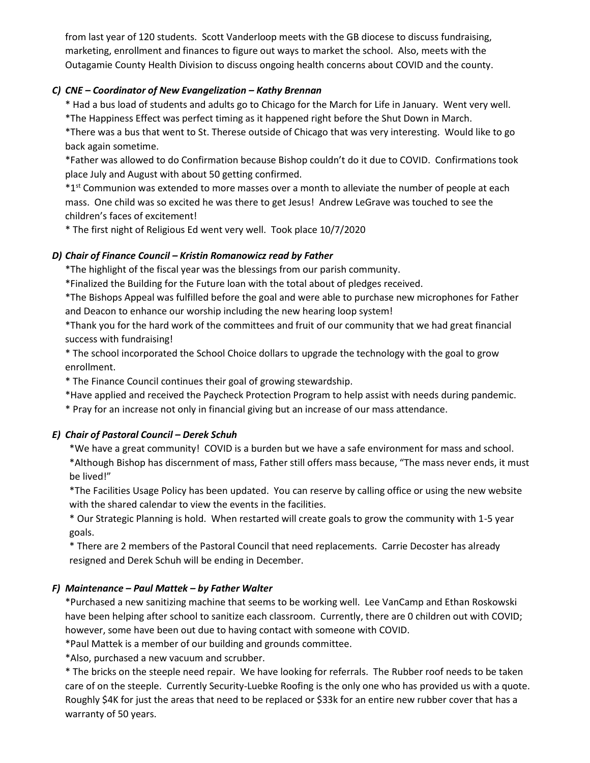from last year of 120 students. Scott Vanderloop meets with the GB diocese to discuss fundraising, marketing, enrollment and finances to figure out ways to market the school. Also, meets with the Outagamie County Health Division to discuss ongoing health concerns about COVID and the county.

## *C) CNE – Coordinator of New Evangelization – Kathy Brennan*

\* Had a bus load of students and adults go to Chicago for the March for Life in January. Went very well. \*The Happiness Effect was perfect timing as it happened right before the Shut Down in March.

\*There was a bus that went to St. Therese outside of Chicago that was very interesting. Would like to go back again sometime.

\*Father was allowed to do Confirmation because Bishop couldn't do it due to COVID. Confirmations took place July and August with about 50 getting confirmed.

 $*1$ <sup>st</sup> Communion was extended to more masses over a month to alleviate the number of people at each mass. One child was so excited he was there to get Jesus! Andrew LeGrave was touched to see the children's faces of excitement!

\* The first night of Religious Ed went very well. Took place 10/7/2020

## *D) Chair of Finance Council – Kristin Romanowicz read by Father*

\*The highlight of the fiscal year was the blessings from our parish community.

\*Finalized the Building for the Future loan with the total about of pledges received.

\*The Bishops Appeal was fulfilled before the goal and were able to purchase new microphones for Father and Deacon to enhance our worship including the new hearing loop system!

\*Thank you for the hard work of the committees and fruit of our community that we had great financial success with fundraising!

\* The school incorporated the School Choice dollars to upgrade the technology with the goal to grow enrollment.

\* The Finance Council continues their goal of growing stewardship.

\*Have applied and received the Paycheck Protection Program to help assist with needs during pandemic.

\* Pray for an increase not only in financial giving but an increase of our mass attendance.

# *E) Chair of Pastoral Council – Derek Schuh*

\*We have a great community! COVID is a burden but we have a safe environment for mass and school. \*Although Bishop has discernment of mass, Father still offers mass because, "The mass never ends, it must be lived!"

\*The Facilities Usage Policy has been updated. You can reserve by calling office or using the new website with the shared calendar to view the events in the facilities.

\* Our Strategic Planning is hold. When restarted will create goals to grow the community with 1-5 year goals.

\* There are 2 members of the Pastoral Council that need replacements. Carrie Decoster has already resigned and Derek Schuh will be ending in December.

#### *F) Maintenance – Paul Mattek – by Father Walter*

\*Purchased a new sanitizing machine that seems to be working well. Lee VanCamp and Ethan Roskowski have been helping after school to sanitize each classroom. Currently, there are 0 children out with COVID; however, some have been out due to having contact with someone with COVID.

\*Paul Mattek is a member of our building and grounds committee.

\*Also, purchased a new vacuum and scrubber.

\* The bricks on the steeple need repair. We have looking for referrals. The Rubber roof needs to be taken care of on the steeple. Currently Security-Luebke Roofing is the only one who has provided us with a quote. Roughly \$4K for just the areas that need to be replaced or \$33k for an entire new rubber cover that has a warranty of 50 years.